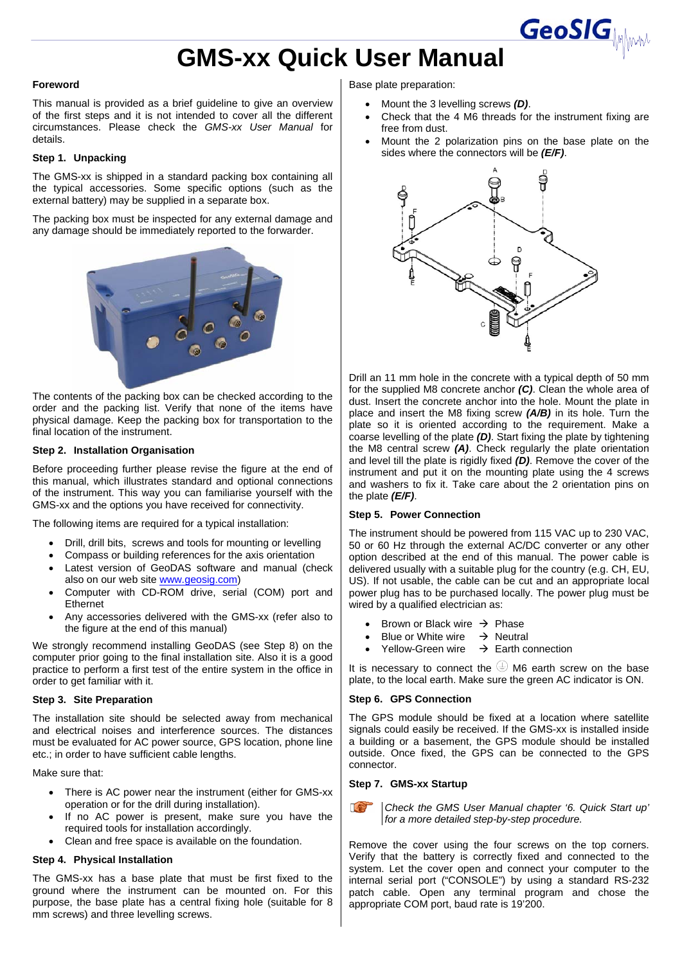# **GMS-xx Quick User Manual**

### **Foreword**

This manual is provided as a brief guideline to give an overview of the first steps and it is not intended to cover all the different circumstances. Please check the *GMS-xx User Manual* for details.

## **Step 1. Unpacking**

The GMS-xx is shipped in a standard packing box containing all the typical accessories. Some specific options (such as the external battery) may be supplied in a separate box.

The packing box must be inspected for any external damage and any damage should be immediately reported to the forwarder.



The contents of the packing box can be checked according to the order and the packing list. Verify that none of the items have physical damage. Keep the packing box for transportation to the final location of the instrument.

#### **Step 2. Installation Organisation**

Before proceeding further please revise the figure at the end of this manual, which illustrates standard and optional connections of the instrument. This way you can familiarise yourself with the GMS-xx and the options you have received for connectivity.

The following items are required for a typical installation:

- Drill, drill bits, screws and tools for mounting or levelling
- Compass or building references for the axis orientation
- Latest version of GeoDAS software and manual (check also on our web site www.geosig.com)
- Computer with CD-ROM drive, serial (COM) port and Ethernet
- Any accessories delivered with the GMS-xx (refer also to the figure at the end of this manual)

We strongly recommend installing GeoDAS (see Step 8) on the computer prior going to the final installation site. Also it is a good practice to perform a first test of the entire system in the office in order to get familiar with it.

### **Step 3. Site Preparation**

The installation site should be selected away from mechanical and electrical noises and interference sources. The distances must be evaluated for AC power source, GPS location, phone line etc.; in order to have sufficient cable lengths.

Make sure that:

- There is AC power near the instrument (either for GMS-xx operation or for the drill during installation).
- If no AC power is present, make sure you have the required tools for installation accordingly.
- Clean and free space is available on the foundation.

#### **Step 4. Physical Installation**

The GMS-xx has a base plate that must be first fixed to the ground where the instrument can be mounted on. For this purpose, the base plate has a central fixing hole (suitable for 8 mm screws) and three levelling screws.

Base plate preparation:

- Mount the 3 levelling screws *(D)*.
- Check that the 4 M6 threads for the instrument fixing are free from dust.

**GeoSIG** 

Mount the 2 polarization pins on the base plate on the sides where the connectors will be *(E/F)*.



Drill an 11 mm hole in the concrete with a typical depth of 50 mm for the supplied M8 concrete anchor *(C)*. Clean the whole area of dust. Insert the concrete anchor into the hole. Mount the plate in place and insert the M8 fixing screw *(A/B)* in its hole. Turn the plate so it is oriented according to the requirement. Make a coarse levelling of the plate *(D)*. Start fixing the plate by tightening the M8 central screw *(A)*. Check regularly the plate orientation and level till the plate is rigidly fixed *(D)*. Remove the cover of the instrument and put it on the mounting plate using the 4 screws and washers to fix it. Take care about the 2 orientation pins on the plate *(E/F)*.

#### **Step 5. Power Connection**

The instrument should be powered from 115 VAC up to 230 VAC, 50 or 60 Hz through the external AC/DC converter or any other option described at the end of this manual. The power cable is delivered usually with a suitable plug for the country (e.g. CH, EU, US). If not usable, the cable can be cut and an appropriate local power plug has to be purchased locally. The power plug must be wired by a qualified electrician as:

- Brown or Black wire  $\rightarrow$  Phase
- Blue or White wire  $\rightarrow$  Neutral
- Yellow-Green wire  $\rightarrow$  Earth connection

It is necessary to connect the  $\bigcirc$  M6 earth screw on the base plate, to the local earth. Make sure the green AC indicator is ON.

## **Step 6. GPS Connection**

The GPS module should be fixed at a location where satellite signals could easily be received. If the GMS-xx is installed inside a building or a basement, the GPS module should be installed outside. Once fixed, the GPS can be connected to the GPS connector.

#### **Step 7. GMS-xx Startup**



*Check the GMS User Manual chapter '6. Quick Start up' for a more detailed step-by-step procedure.* 

Remove the cover using the four screws on the top corners. Verify that the battery is correctly fixed and connected to the system. Let the cover open and connect your computer to the internal serial port ("CONSOLE") by using a standard RS-232 patch cable. Open any terminal program and chose the appropriate COM port, baud rate is 19'200.